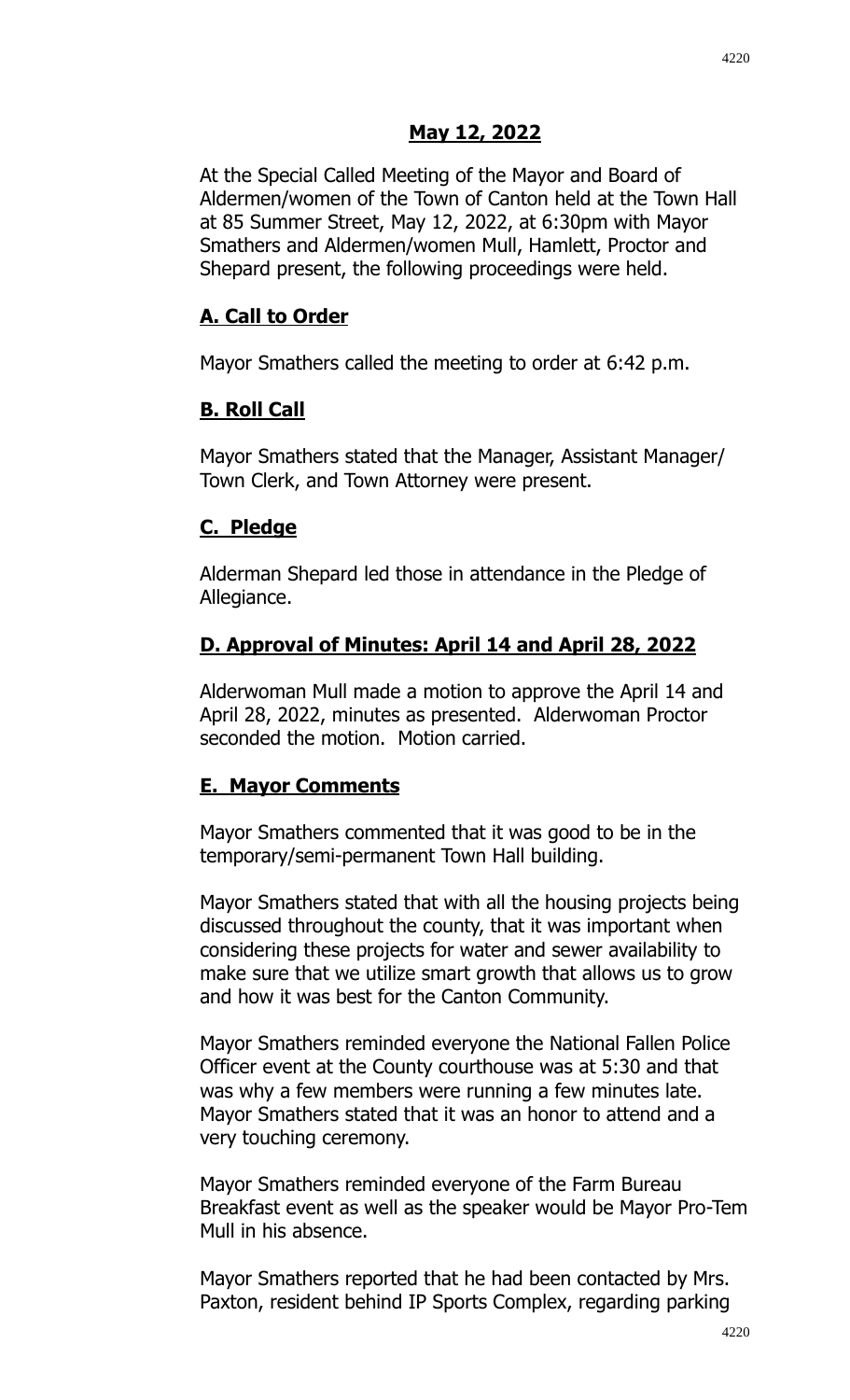### **May 12, 2022**

At the Special Called Meeting of the Mayor and Board of Aldermen/women of the Town of Canton held at the Town Hall at 85 Summer Street, May 12, 2022, at 6:30pm with Mayor Smathers and Aldermen/women Mull, Hamlett, Proctor and Shepard present, the following proceedings were held.

## **A. Call to Order**

Mayor Smathers called the meeting to order at 6:42 p.m.

## **B. Roll Call**

Mayor Smathers stated that the Manager, Assistant Manager/ Town Clerk, and Town Attorney were present.

### **C. Pledge**

Alderman Shepard led those in attendance in the Pledge of Allegiance.

## **D. Approval of Minutes: April 14 and April 28, 2022**

Alderwoman Mull made a motion to approve the April 14 and April 28, 2022, minutes as presented. Alderwoman Proctor seconded the motion. Motion carried.

# **E. Mayor Comments**

Mayor Smathers commented that it was good to be in the temporary/semi-permanent Town Hall building.

Mayor Smathers stated that with all the housing projects being discussed throughout the county, that it was important when considering these projects for water and sewer availability to make sure that we utilize smart growth that allows us to grow and how it was best for the Canton Community.

Mayor Smathers reminded everyone the National Fallen Police Officer event at the County courthouse was at 5:30 and that was why a few members were running a few minutes late. Mayor Smathers stated that it was an honor to attend and a very touching ceremony.

Mayor Smathers reminded everyone of the Farm Bureau Breakfast event as well as the speaker would be Mayor Pro-Tem Mull in his absence.

Mayor Smathers reported that he had been contacted by Mrs. Paxton, resident behind IP Sports Complex, regarding parking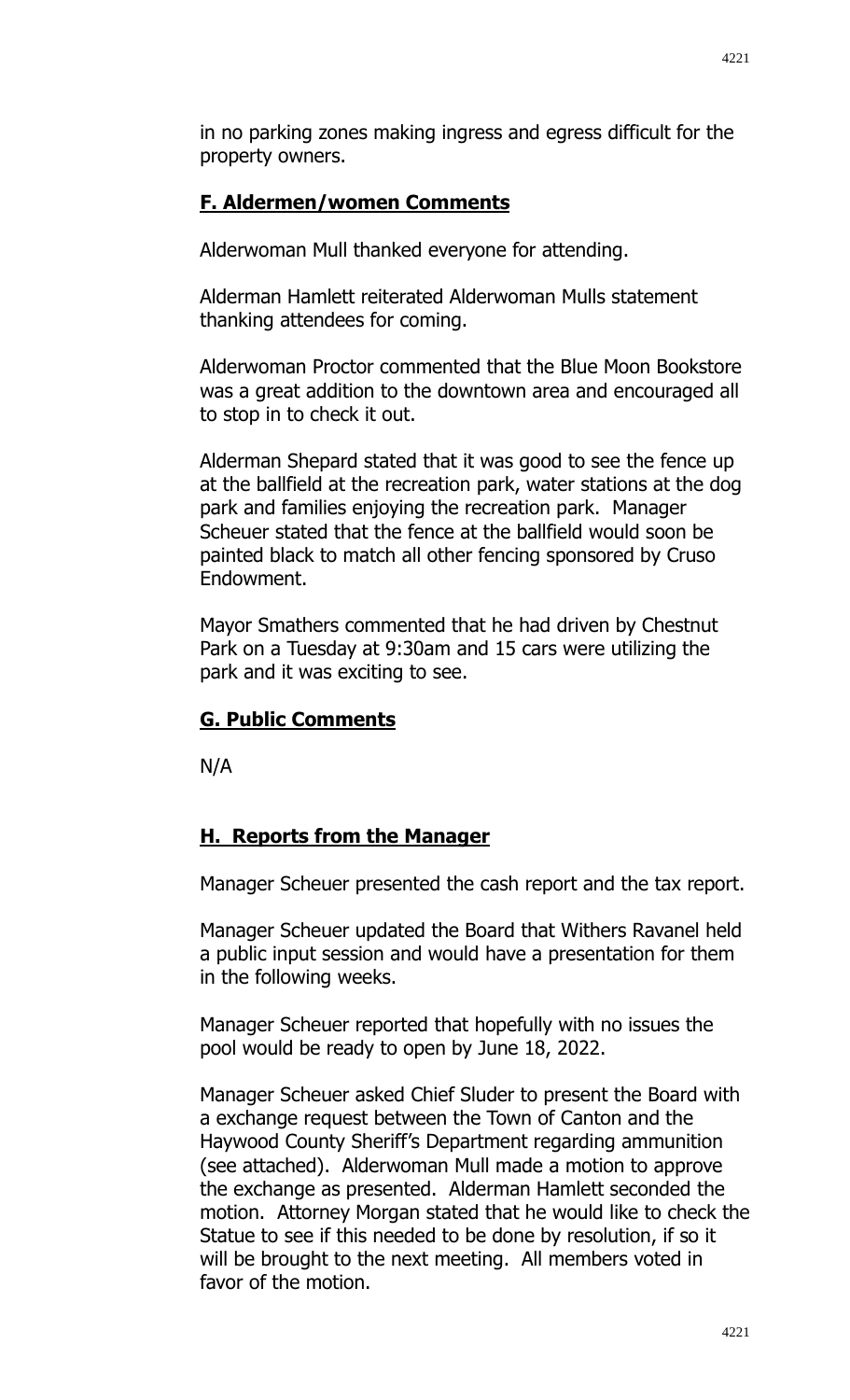in no parking zones making ingress and egress difficult for the property owners.

# **F. Aldermen/women Comments**

Alderwoman Mull thanked everyone for attending.

Alderman Hamlett reiterated Alderwoman Mulls statement thanking attendees for coming.

Alderwoman Proctor commented that the Blue Moon Bookstore was a great addition to the downtown area and encouraged all to stop in to check it out.

Alderman Shepard stated that it was good to see the fence up at the ballfield at the recreation park, water stations at the dog park and families enjoying the recreation park. Manager Scheuer stated that the fence at the ballfield would soon be painted black to match all other fencing sponsored by Cruso Endowment.

Mayor Smathers commented that he had driven by Chestnut Park on a Tuesday at 9:30am and 15 cars were utilizing the park and it was exciting to see.

# **G. Public Comments**

N/A

# **H. Reports from the Manager**

Manager Scheuer presented the cash report and the tax report.

Manager Scheuer updated the Board that Withers Ravanel held a public input session and would have a presentation for them in the following weeks.

Manager Scheuer reported that hopefully with no issues the pool would be ready to open by June 18, 2022.

Manager Scheuer asked Chief Sluder to present the Board with a exchange request between the Town of Canton and the Haywood County Sheriff's Department regarding ammunition (see attached). Alderwoman Mull made a motion to approve the exchange as presented. Alderman Hamlett seconded the motion. Attorney Morgan stated that he would like to check the Statue to see if this needed to be done by resolution, if so it will be brought to the next meeting. All members voted in favor of the motion.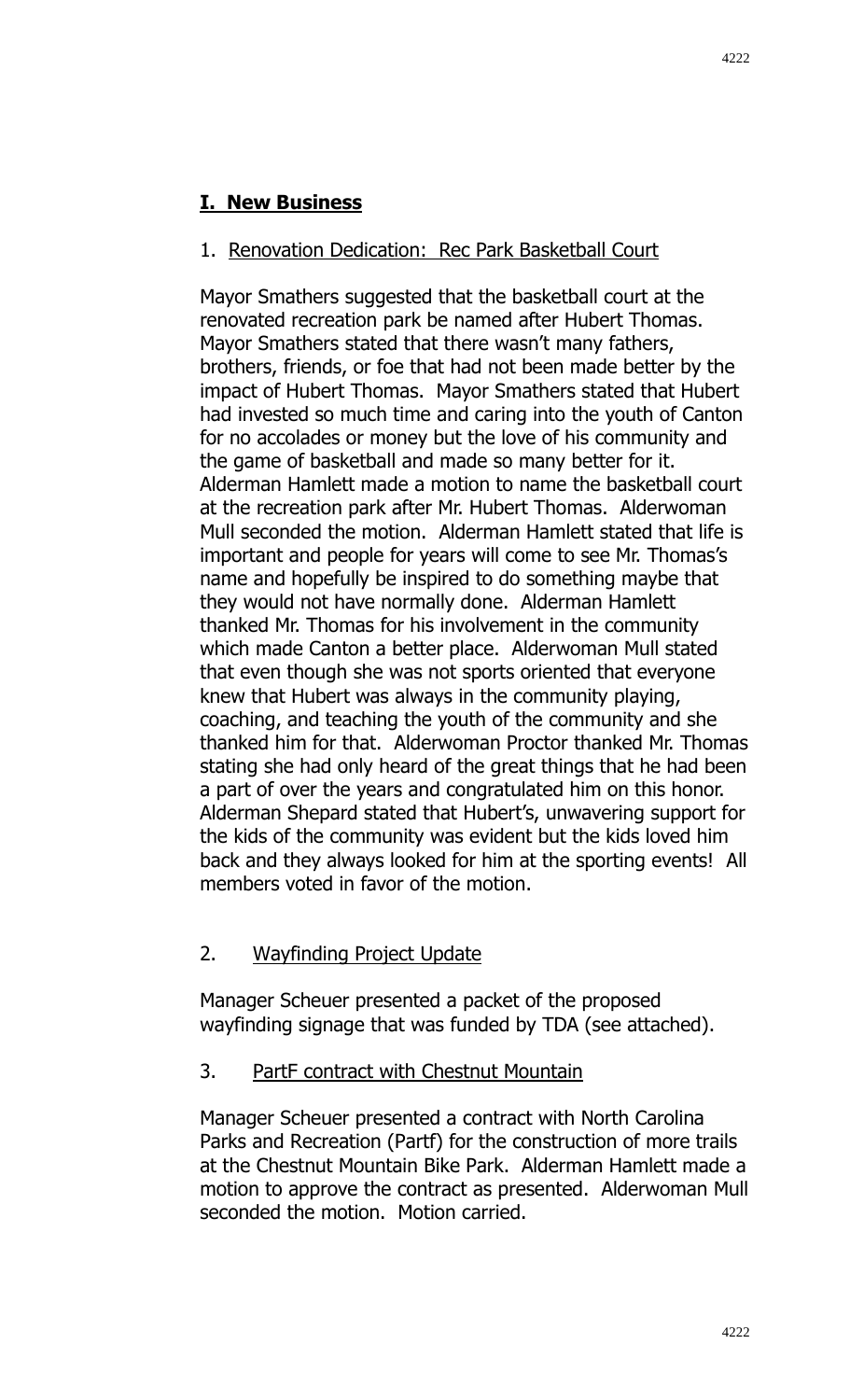## **I. New Business**

#### 1. Renovation Dedication: Rec Park Basketball Court

Mayor Smathers suggested that the basketball court at the renovated recreation park be named after Hubert Thomas. Mayor Smathers stated that there wasn't many fathers, brothers, friends, or foe that had not been made better by the impact of Hubert Thomas. Mayor Smathers stated that Hubert had invested so much time and caring into the youth of Canton for no accolades or money but the love of his community and the game of basketball and made so many better for it. Alderman Hamlett made a motion to name the basketball court at the recreation park after Mr. Hubert Thomas. Alderwoman Mull seconded the motion. Alderman Hamlett stated that life is important and people for years will come to see Mr. Thomas's name and hopefully be inspired to do something maybe that they would not have normally done. Alderman Hamlett thanked Mr. Thomas for his involvement in the community which made Canton a better place. Alderwoman Mull stated that even though she was not sports oriented that everyone knew that Hubert was always in the community playing, coaching, and teaching the youth of the community and she thanked him for that. Alderwoman Proctor thanked Mr. Thomas stating she had only heard of the great things that he had been a part of over the years and congratulated him on this honor. Alderman Shepard stated that Hubert's, unwavering support for the kids of the community was evident but the kids loved him back and they always looked for him at the sporting events! All members voted in favor of the motion.

### 2. Wayfinding Project Update

Manager Scheuer presented a packet of the proposed wayfinding signage that was funded by TDA (see attached).

#### 3. PartF contract with Chestnut Mountain

Manager Scheuer presented a contract with North Carolina Parks and Recreation (Partf) for the construction of more trails at the Chestnut Mountain Bike Park. Alderman Hamlett made a motion to approve the contract as presented. Alderwoman Mull seconded the motion. Motion carried.